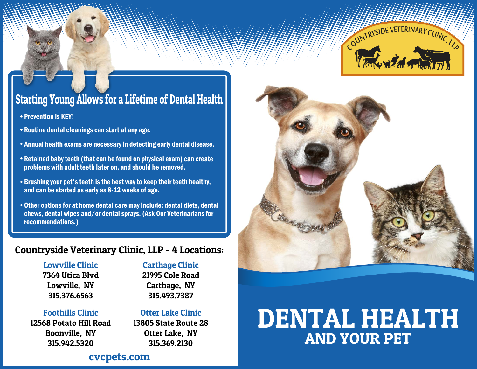

# Starting Young Allows for a Lifetime of Dental Health

- Prevention is KEY!
- Routine dental cleanings can start at any age.
- Annual health exams are necessary in detecting early dental disease.
- Retained baby teeth (that can be found on physical exam) can create problems with adult teeth later on, and should be removed.
- Brushing your pet's teeth is the best way to keep their teeth healthy, and can be started as early as 8-12 weeks of age.
- Other options for at home dental care may include: dental diets, dental chews, dental wipes and/or dental sprays. (Ask Our Veterinarians for recommendations.)

### Countryside Veterinary Clinic, LLP - 4 Locations:

### Lowville Clinic

7364 Utica Blvd

Lowville, NY 315.376.6563

### Carthage Clinic

21995 Cole Road Carthage, NY 315.493.7387

### Foothills Clinic

12568 Potato Hill Road Boonville, NY 315.942.5320

### Otter Lake Clinic

13805 State Route 28 Otter Lake, NY 315.369.2130

# DENTAL HEALTH AND YOUR PET

### cvcpets.com